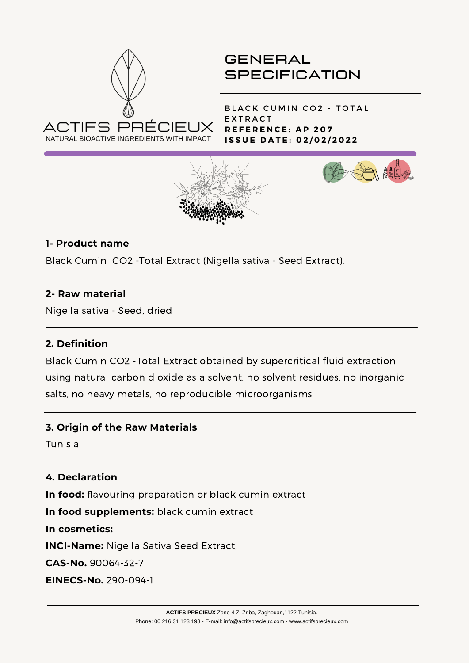

BLACK CUMIN CO2 - TOTAL **EXTRACT R E F E R E N C E : A P 2 0 7 I S S U E D A T E : 0 2 / 0 2 / 2 0 2 2**





#### **1- Product name**

Black Cumin CO2 -Total Extract (Nigella sativa - Seed Extract).

#### **2- Raw material**

Nigella sativa - Seed, dried

#### **2. Definition**

Black Cumin CO2 -Total Extract obtained by supercritical fluid extraction using natural carbon dioxide as a solvent. no solvent residues, no inorganic salts, no heavy metals, no reproducible microorganisms

#### **3. Origin of the Raw Materials**

Tunisia

# **4. Declaration**

**In food:** flavouring preparation or black cumin extract

**In food supplements:** black cumin extract

**In cosmetics:**

**INCI-Name:** Nigella Sativa Seed Extract,

**CAS-No.** 90064-32-7

**EINECS-No.** 290-094-1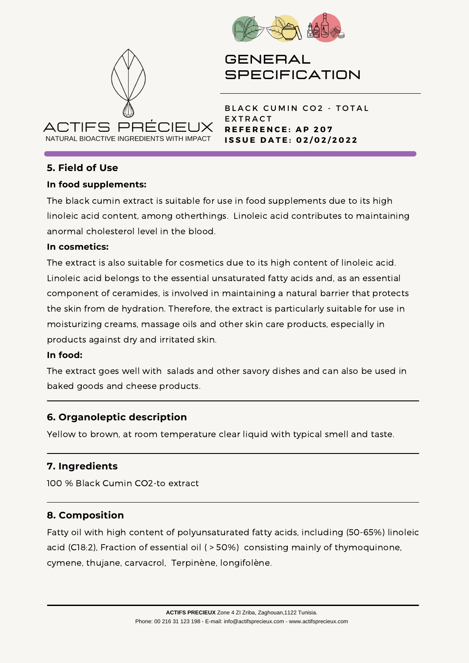



BLACK CUMIN CO2 - TOTAL **EXTRACT R E F E R E N C E : A P 2 0 7 I S S U E D A T E : 0 2 / 0 2 / 2 0 2 2**

# **5. Field of Use**

#### **In food supplements:**

The black cumin extract is suitable for use in food supplements due to its high linoleic acid content, among otherthings. Linoleic acid contributes to maintaining anormal cholesterol level in the blood.

#### **In cosmetics:**

The extract is also suitable for cosmetics due to its high content of linoleic acid. Linoleic acid belongs to the essential unsaturated fatty acids and, as an essential component of ceramides, is involved in maintaining a natural barrier that protects the skin from de hydration. Therefore, the extract is particularly suitable for use in moisturizing creams, massage oils and other skin care products, especially in products against dry and irritated skin.

#### **In food:**

The extract goes well with salads and other savory dishes and can also be used in baked goods and cheese products.

# **6. Organoleptic description**

Yellow to brown, at room temperature clear liquid with typical smell and taste.

# **7. Ingredients**

100 % Black Cumin CO2-to extract

# **8. Composition**

Fatty oil with high content of polyunsaturated fatty acids, including (50-65%) linoleic acid (C18:2), Fraction of essential oil ( > 50%) consisting mainly of thymoquinone, cymene, thujane, carvacrol, Terpinène, longifolène.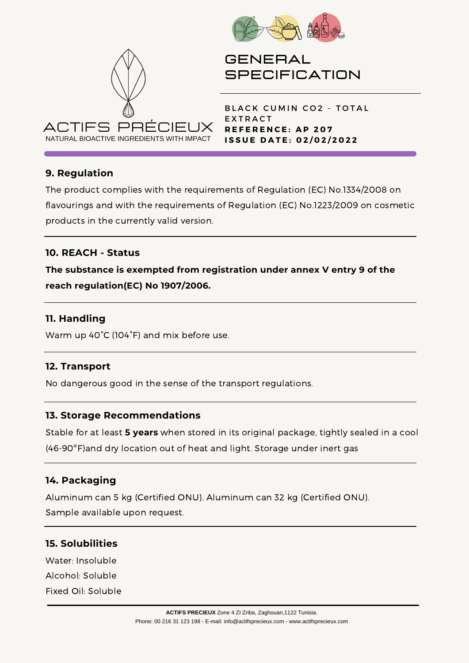



BLACK CUMIN CO2 - TOTAL **EXTRACT R E F E R E N C E : A P 2 0 7 I S S U E D A T E : 0 2 / 0 2 / 2 0 2 2**

# **9. Regulation**

The product complies with the requirements of Regulation (EC) No.1334/2008 on flavourings and with the requirements of Regulation (EC) No.1223/2009 on cosmetic products in the currently valid version.

# **10. REACH - Status**

**The substance is exempted from registration under annex V entry 9 of the reach regulation(EC) No 1907/2006.**

#### **11. Handling**

Warm up 40°C (104°F) and mix before use.

#### **12. Transport**

No dangerous good in the sense of the transport regulations.

#### **13. Storage Recommendations**

Stable for at least **5 years** when stored in its original package, tightly sealed in a cool (46-90ºF)and dry location out of heat and light. Storage under inert gas

#### **14. Packaging**

Aluminum can 5 kg (Certified ONU). Aluminum can 32 kg (Certified ONU). Sample available upon request.

# **15. Solubilities**

Water: Insoluble Alcohol: Soluble Fixed Oil: Soluble